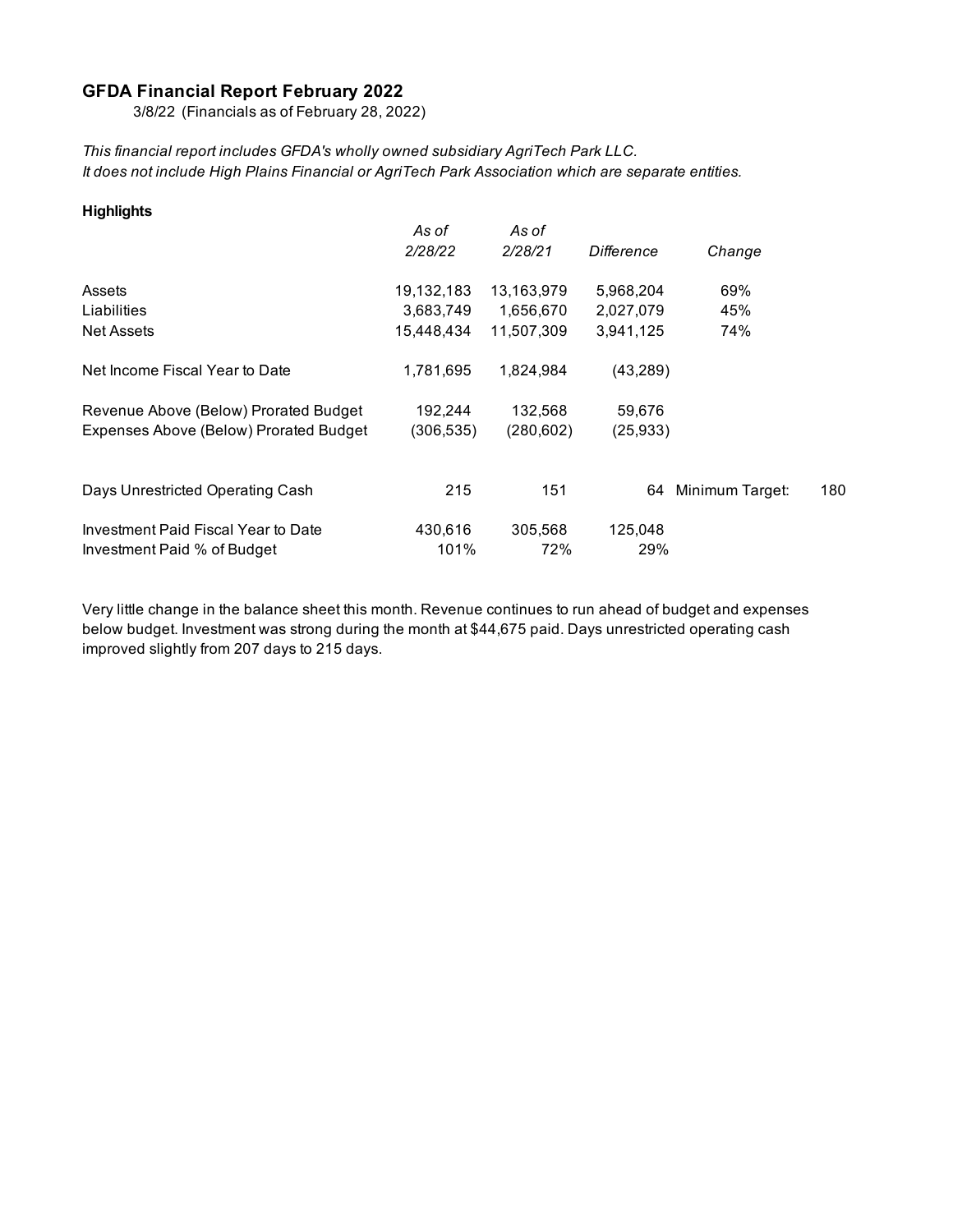## **GFDA Financial Report February 2022**

3/8/22 (Financials as of February 28, 2022)

*This financial report includes GFDA's wholly owned subsidiary AgriTech Park LLC. It does not include High Plains Financial or AgriTech Park Association which are separate entities.*

| <b>Highlights</b>                      |            |            |            |                 |     |
|----------------------------------------|------------|------------|------------|-----------------|-----|
|                                        | As of      | As of      |            |                 |     |
|                                        | 2/28/22    | 2/28/21    | Difference | Change          |     |
| Assets                                 | 19,132,183 | 13,163,979 | 5,968,204  | 69%             |     |
| Liabilities                            | 3,683,749  | 1,656,670  | 2,027,079  | 45%             |     |
| <b>Net Assets</b>                      | 15,448,434 | 11,507,309 | 3.941.125  | 74%             |     |
| Net Income Fiscal Year to Date         | 1,781,695  | 1,824,984  | (43, 289)  |                 |     |
| Revenue Above (Below) Prorated Budget  | 192,244    | 132,568    | 59,676     |                 |     |
| Expenses Above (Below) Prorated Budget | (306,535)  | (280, 602) | (25, 933)  |                 |     |
|                                        |            |            |            |                 |     |
| Days Unrestricted Operating Cash       | 215        | 151        | 64         | Minimum Target: | 180 |
| Investment Paid Fiscal Year to Date    | 430.616    | 305,568    | 125,048    |                 |     |
| Investment Paid % of Budget            | 101%       | 72%        | 29%        |                 |     |

Very little change in the balance sheet this month. Revenue continues to run ahead of budget and expenses below budget. Investment was strong during the month at \$44,675 paid. Days unrestricted operating cash improved slightly from 207 days to 215 days.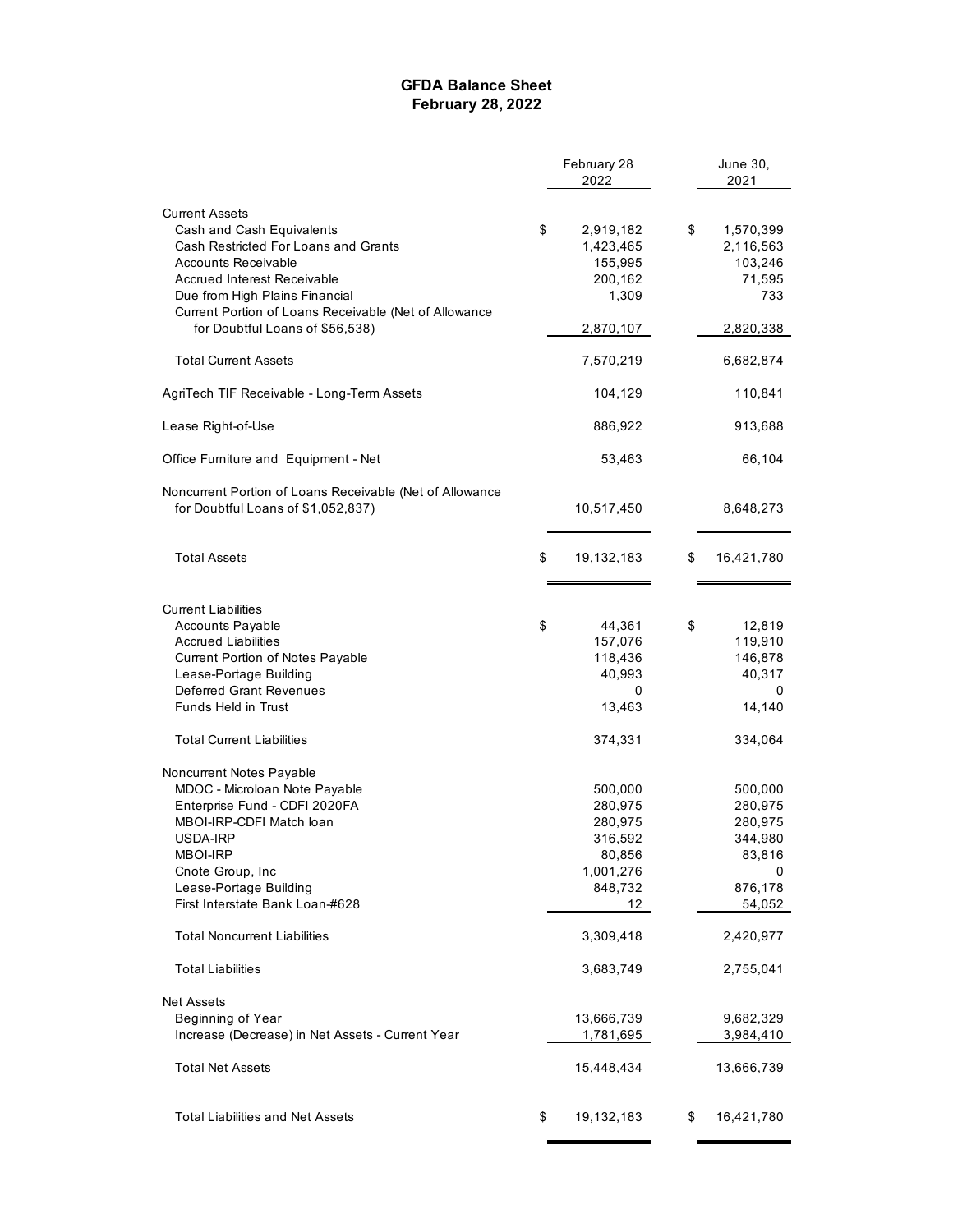### **GFDA Balance Sheet February 28, 2022**

|                                                          | February 28      | June 30,         |  |
|----------------------------------------------------------|------------------|------------------|--|
|                                                          | 2022             | 2021             |  |
| <b>Current Assets</b>                                    |                  |                  |  |
| Cash and Cash Equivalents                                | \$<br>2,919,182  | \$<br>1,570,399  |  |
| Cash Restricted For Loans and Grants                     | 1,423,465        | 2,116,563        |  |
| Accounts Receivable                                      | 155,995          | 103,246          |  |
| <b>Accrued Interest Receivable</b>                       | 200,162          | 71,595           |  |
| Due from High Plains Financial                           | 1,309            | 733              |  |
| Current Portion of Loans Receivable (Net of Allowance    |                  |                  |  |
| for Doubtful Loans of \$56,538)                          | 2,870,107        | 2,820,338        |  |
| <b>Total Current Assets</b>                              | 7,570,219        | 6,682,874        |  |
| AgriTech TIF Receivable - Long-Term Assets               | 104,129          | 110,841          |  |
| Lease Right-of-Use                                       | 886,922          | 913,688          |  |
| Office Furniture and Equipment - Net                     | 53,463           | 66,104           |  |
| Noncurrent Portion of Loans Receivable (Net of Allowance |                  |                  |  |
| for Doubtful Loans of \$1,052,837)                       | 10,517,450       | 8,648,273        |  |
| <b>Total Assets</b>                                      | \$<br>19,132,183 | \$<br>16,421,780 |  |
| <b>Current Liabilities</b>                               |                  |                  |  |
| <b>Accounts Payable</b>                                  | \$<br>44,361     | \$<br>12,819     |  |
| <b>Accrued Liabilities</b>                               | 157,076          | 119,910          |  |
| Current Portion of Notes Payable                         | 118,436          | 146,878          |  |
| Lease-Portage Building                                   | 40,993           | 40,317           |  |
| Deferred Grant Revenues                                  | 0                | 0                |  |
| Funds Held in Trust                                      | 13,463           | 14,140           |  |
| <b>Total Current Liabilities</b>                         | 374,331          | 334,064          |  |
| Noncurrent Notes Payable                                 |                  |                  |  |
| MDOC - Microloan Note Payable                            | 500,000          | 500,000          |  |
| Enterprise Fund - CDFI 2020FA                            | 280,975          | 280,975          |  |
| MBOI-IRP-CDFI Match loan                                 | 280,975          | 280,975          |  |
| USDA-IRP                                                 | 316,592          | 344,980          |  |
| MBOI-IRP                                                 | 80,856           | 83,816           |  |
| Cnote Group, Inc                                         | 1,001,276        | 0                |  |
| Lease-Portage Building                                   | 848,732          | 876,178          |  |
| First Interstate Bank Loan-#628                          | 12               | 54,052           |  |
| <b>Total Noncurrent Liabilities</b>                      | 3,309,418        | 2,420,977        |  |
| <b>Total Liabilities</b>                                 | 3,683,749        | 2,755,041        |  |
| <b>Net Assets</b>                                        |                  |                  |  |
| Beginning of Year                                        | 13,666,739       | 9,682,329        |  |
| Increase (Decrease) in Net Assets - Current Year         | 1,781,695        | 3,984,410        |  |
| <b>Total Net Assets</b>                                  | 15,448,434       | 13,666,739       |  |
| <b>Total Liabilities and Net Assets</b>                  | \$<br>19,132,183 | \$<br>16,421,780 |  |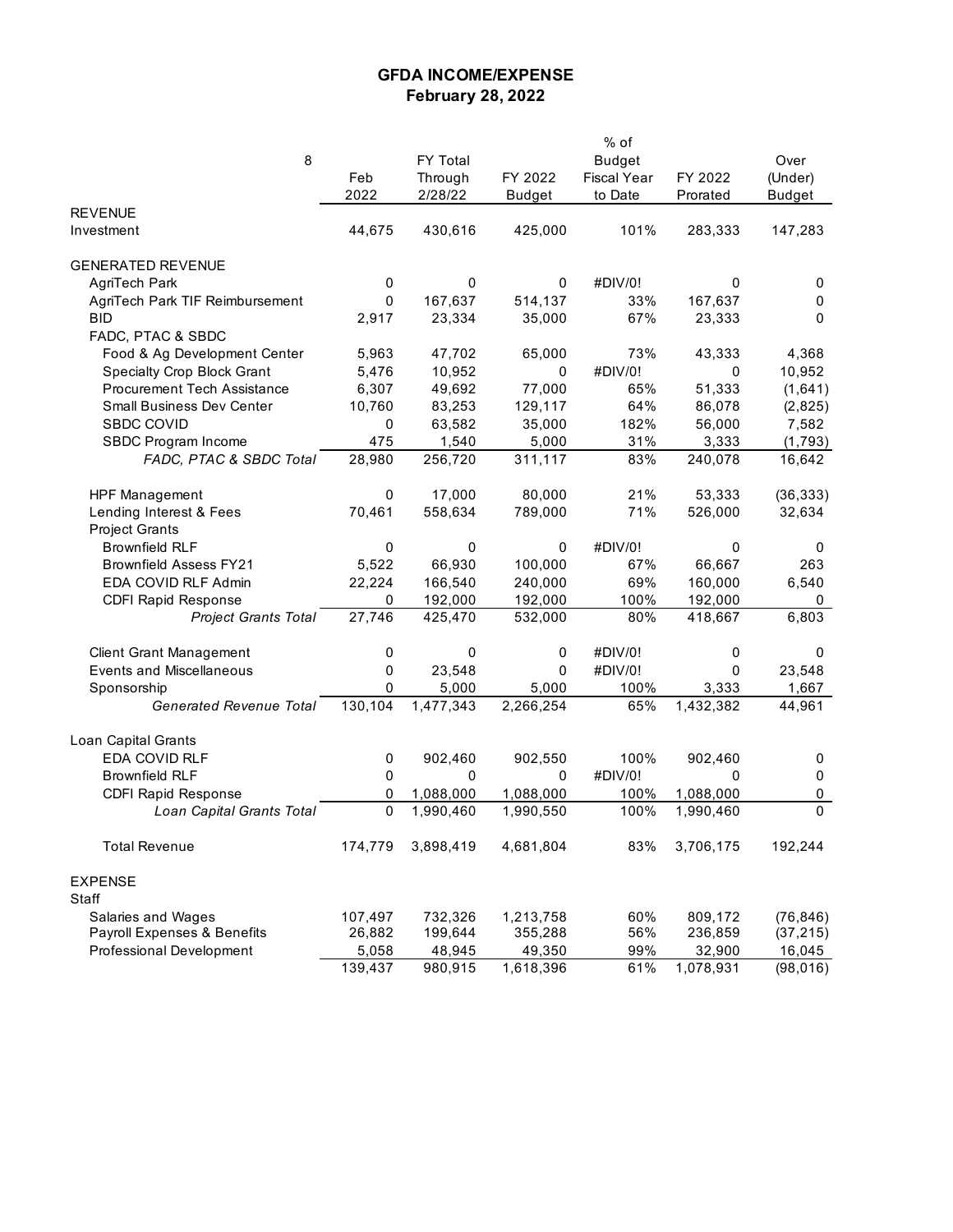## **GFDA INCOME/EXPENSE February 28, 2022**

|                                    |             |           |               | % of               |           |           |
|------------------------------------|-------------|-----------|---------------|--------------------|-----------|-----------|
| 8                                  |             | FY Total  |               | <b>Budget</b>      |           | Over      |
|                                    | Feb         | Through   | FY 2022       | <b>Fiscal Year</b> | FY 2022   | (Under)   |
|                                    | 2022        | 2/28/22   | <b>Budget</b> | to Date            | Prorated  | Budget    |
| <b>REVENUE</b>                     |             |           |               |                    |           |           |
| Investment                         | 44,675      | 430,616   | 425,000       | 101%               | 283,333   | 147,283   |
|                                    |             |           |               |                    |           |           |
| <b>GENERATED REVENUE</b>           |             |           |               |                    |           |           |
| AgriTech Park                      | 0           | 0         | 0             | #DIV/0!            | 0         | 0         |
| AgriTech Park TIF Reimbursement    | 0           | 167,637   | 514,137       | 33%                | 167,637   | 0         |
| <b>BID</b>                         | 2,917       | 23,334    | 35,000        | 67%                | 23,333    | 0         |
| FADC, PTAC & SBDC                  |             |           |               |                    |           |           |
| Food & Ag Development Center       | 5,963       | 47,702    | 65,000        | 73%                | 43,333    | 4,368     |
| <b>Specialty Crop Block Grant</b>  | 5,476       | 10,952    | 0             | #DIV/0!            | 0         | 10,952    |
| <b>Procurement Tech Assistance</b> | 6,307       | 49,692    | 77,000        | 65%                | 51,333    | (1,641)   |
| <b>Small Business Dev Center</b>   | 10,760      | 83,253    | 129,117       | 64%                | 86,078    | (2,825)   |
| <b>SBDC COVID</b>                  | $\mathbf 0$ | 63,582    | 35,000        | 182%               | 56,000    | 7,582     |
| SBDC Program Income                | 475         | 1,540     | 5,000         | 31%                | 3,333     | (1,793)   |
| FADC, PTAC & SBDC Total            | 28,980      | 256,720   | 311,117       | 83%                | 240,078   | 16,642    |
|                                    |             |           |               |                    |           |           |
| <b>HPF Management</b>              | 0           | 17,000    | 80,000        | 21%                | 53,333    | (36, 333) |
| Lending Interest & Fees            | 70,461      | 558,634   | 789,000       | 71%                | 526,000   | 32,634    |
| <b>Project Grants</b>              |             |           |               |                    |           |           |
| <b>Brownfield RLF</b>              | 0           | 0         | 0             | #DIV/0!            | 0         | 0         |
| <b>Brownfield Assess FY21</b>      | 5,522       | 66,930    | 100,000       | 67%                | 66.667    | 263       |
| EDA COVID RLF Admin                | 22,224      | 166,540   | 240,000       | 69%                | 160,000   | 6,540     |
| <b>CDFI Rapid Response</b>         | 0           | 192,000   | 192,000       | 100%               | 192,000   | 0         |
| <b>Project Grants Total</b>        | 27,746      | 425,470   | 532,000       | 80%                | 418,667   | 6,803     |
|                                    |             |           |               |                    |           |           |
| <b>Client Grant Management</b>     | 0           | 0         | 0             | #DIV/0!            | 0         | 0         |
| <b>Events and Miscellaneous</b>    | 0           | 23,548    | 0             | #DIV/0!            | 0         | 23,548    |
| Sponsorship                        | 0           | 5,000     | 5,000         | 100%               | 3,333     | 1,667     |
| <b>Generated Revenue Total</b>     | 130,104     | 1,477,343 | 2,266,254     | 65%                | 1,432,382 | 44,961    |
|                                    |             |           |               |                    |           |           |
| Loan Capital Grants                |             |           |               |                    |           |           |
| EDA COVID RLF                      | 0           | 902,460   | 902,550       | 100%               | 902,460   | 0         |
| <b>Brownfield RLF</b>              | 0           | 0         | 0             | #DIV/0!            | 0         | 0         |
| <b>CDFI Rapid Response</b>         | 0           | 1,088,000 | 1,088,000     | 100%               | 1,088,000 | 0         |
| Loan Capital Grants Total          | 0           | 1,990,460 | 1,990,550     | 100%               | 1,990,460 | $\Omega$  |
| <b>Total Revenue</b>               | 174,779     | 3,898,419 | 4,681,804     | 83%                | 3,706,175 | 192,244   |
|                                    |             |           |               |                    |           |           |
| <b>EXPENSE</b>                     |             |           |               |                    |           |           |
| Staff                              |             |           |               |                    |           |           |
| Salaries and Wages                 | 107,497     | 732,326   | 1,213,758     | 60%                | 809,172   | (76, 846) |
| Payroll Expenses & Benefits        | 26,882      | 199,644   | 355,288       | 56%                | 236,859   | (37, 215) |
| Professional Development           | 5,058       | 48,945    | 49,350        | 99%                | 32,900    | 16,045    |
|                                    | 139,437     | 980,915   | 1,618,396     | 61%                | 1,078,931 | (98, 016) |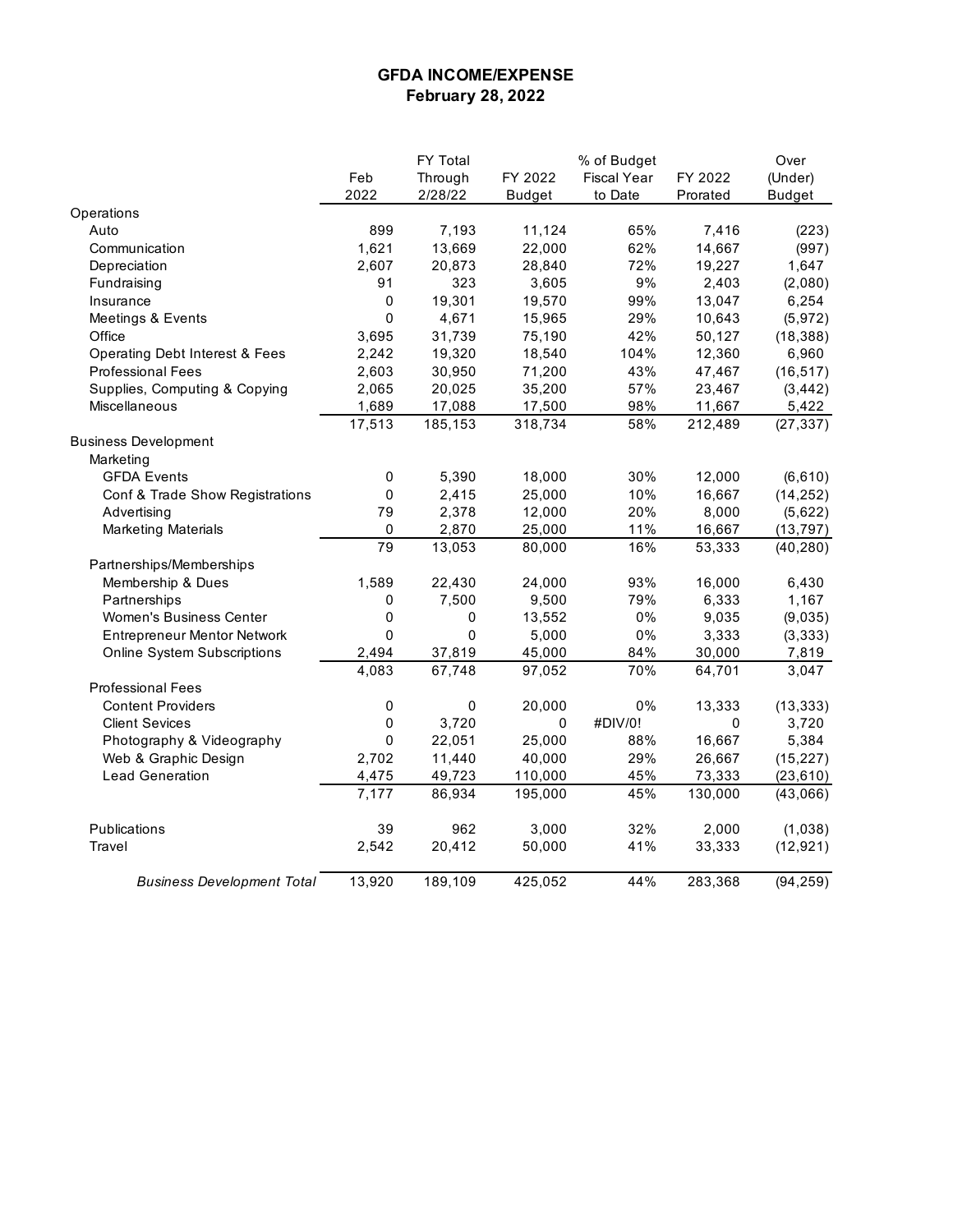### **GFDA INCOME/EXPENSE February 28, 2022**

|                                           |           | FY Total    |               | % of Budget        |          | Over          |
|-------------------------------------------|-----------|-------------|---------------|--------------------|----------|---------------|
|                                           | Feb       | Through     | FY 2022       | <b>Fiscal Year</b> | FY 2022  | (Under)       |
|                                           | 2022      | 2/28/22     | <b>Budget</b> | to Date            | Prorated | <b>Budget</b> |
| Operations                                |           |             |               |                    |          |               |
| Auto                                      | 899       | 7,193       | 11,124        | 65%                | 7,416    | (223)         |
| Communication                             | 1,621     | 13,669      | 22,000        | 62%                | 14,667   | (997)         |
| Depreciation                              | 2,607     | 20,873      | 28,840        | 72%                | 19,227   | 1,647         |
| Fundraising                               | 91        | 323         | 3,605         | 9%                 | 2,403    | (2,080)       |
| Insurance                                 | $\pmb{0}$ | 19,301      | 19,570        | 99%                | 13,047   | 6,254         |
| Meetings & Events                         | 0         | 4,671       | 15,965        | 29%                | 10,643   | (5,972)       |
| Office                                    | 3,695     | 31,739      | 75,190        | 42%                | 50,127   | (18, 388)     |
| <b>Operating Debt Interest &amp; Fees</b> | 2,242     | 19,320      | 18,540        | 104%               | 12,360   | 6,960         |
| <b>Professional Fees</b>                  | 2,603     | 30,950      | 71,200        | 43%                | 47,467   | (16, 517)     |
| Supplies, Computing & Copying             | 2,065     | 20,025      | 35,200        | 57%                | 23,467   | (3, 442)      |
| Miscellaneous                             | 1,689     | 17,088      | 17,500        | 98%                | 11,667   | 5,422         |
|                                           | 17,513    | 185,153     | 318,734       | 58%                | 212,489  | (27, 337)     |
| <b>Business Development</b>               |           |             |               |                    |          |               |
| Marketing                                 |           |             |               |                    |          |               |
| <b>GFDA Events</b>                        | 0         | 5,390       | 18,000        | 30%                | 12,000   | (6,610)       |
| Conf & Trade Show Registrations           | 0         | 2,415       | 25,000        | 10%                | 16,667   | (14, 252)     |
| Advertising                               | 79        | 2,378       | 12,000        | 20%                | 8,000    | (5,622)       |
| <b>Marketing Materials</b>                | 0         | 2,870       | 25,000        | 11%                | 16,667   | (13, 797)     |
|                                           | 79        | 13,053      | 80,000        | 16%                | 53,333   | (40, 280)     |
| Partnerships/Memberships                  |           |             |               |                    |          |               |
| Membership & Dues                         | 1,589     | 22,430      | 24,000        | 93%                | 16,000   | 6,430         |
| Partnerships                              | 0         | 7,500       | 9,500         | 79%                | 6,333    | 1,167         |
| Women's Business Center                   | 0         | 0           | 13,552        | 0%                 | 9,035    | (9,035)       |
| <b>Entrepreneur Mentor Network</b>        | 0         | $\mathbf 0$ | 5,000         | 0%                 | 3,333    | (3, 333)      |
| <b>Online System Subscriptions</b>        | 2,494     | 37,819      | 45,000        | 84%                | 30,000   | 7,819         |
|                                           | 4,083     | 67,748      | 97,052        | 70%                | 64,701   | 3,047         |
| <b>Professional Fees</b>                  |           |             |               |                    |          |               |
| <b>Content Providers</b>                  | 0         | 0           | 20,000        | 0%                 | 13,333   | (13, 333)     |
| <b>Client Sevices</b>                     | 0         | 3,720       | 0             | #DIV/0!            | 0        | 3,720         |
| Photography & Videography                 | 0         | 22,051      | 25,000        | 88%                | 16,667   | 5,384         |
| Web & Graphic Design                      | 2,702     | 11,440      | 40,000        | 29%                | 26,667   | (15, 227)     |
| <b>Lead Generation</b>                    | 4,475     | 49,723      | 110,000       | 45%                | 73,333   | (23, 610)     |
|                                           | 7,177     | 86,934      | 195,000       | 45%                | 130,000  | (43,066)      |
| Publications                              | 39        | 962         | 3,000         | 32%                | 2,000    | (1,038)       |
| Travel                                    | 2,542     | 20,412      | 50,000        | 41%                | 33,333   | (12, 921)     |
| <b>Business Development Total</b>         | 13,920    | 189,109     | 425,052       | 44%                | 283,368  | (94, 259)     |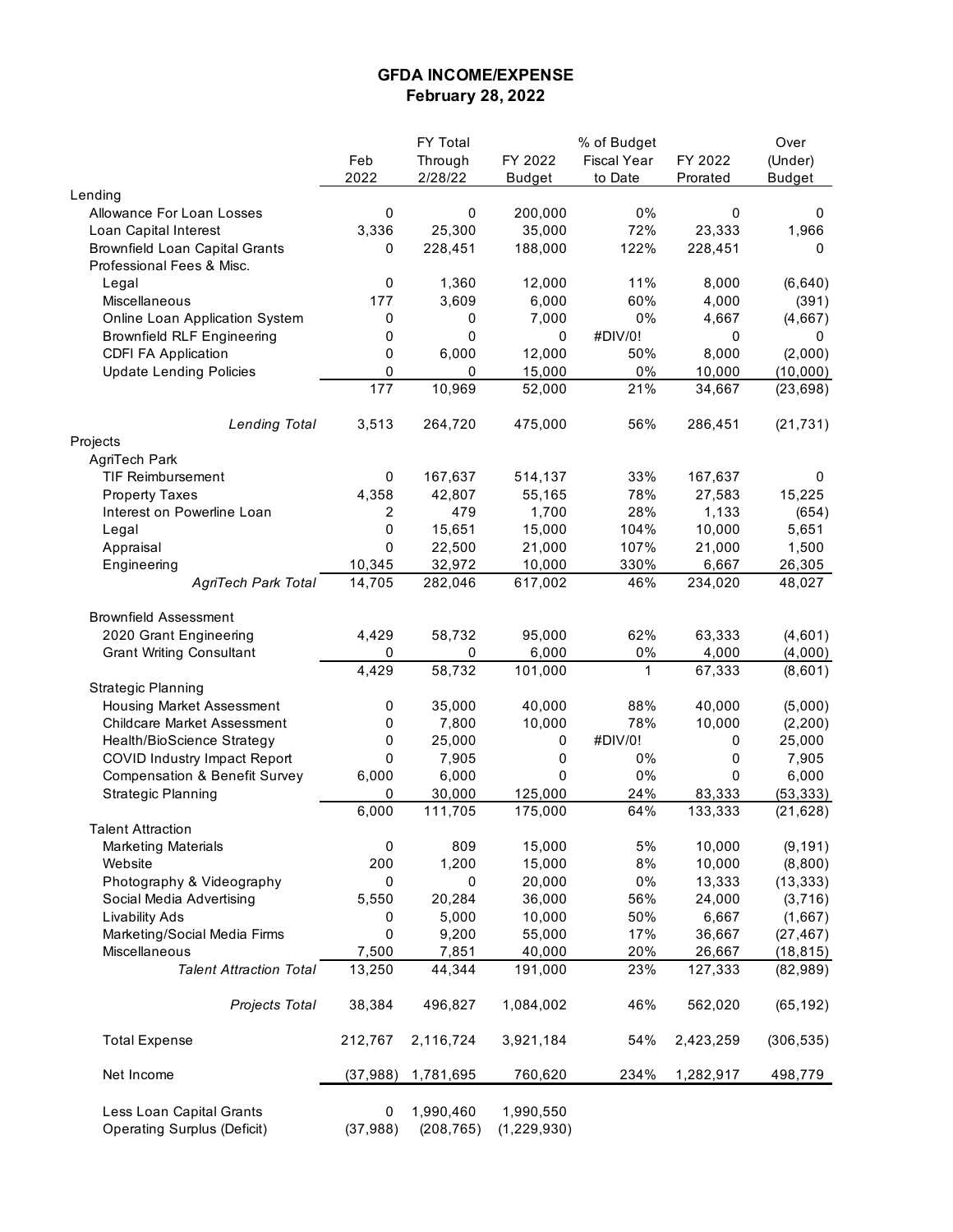### **GFDA INCOME/EXPENSE February 28, 2022**

|                                                                |                | FY Total                |                            | % of Budget        |           | Over          |
|----------------------------------------------------------------|----------------|-------------------------|----------------------------|--------------------|-----------|---------------|
|                                                                | Feb            | Through                 | FY 2022                    | <b>Fiscal Year</b> | FY 2022   | (Under)       |
|                                                                | 2022           | 2/28/22                 | <b>Budget</b>              | to Date            | Prorated  | <b>Budget</b> |
| Lending                                                        |                |                         |                            |                    |           |               |
| Allowance For Loan Losses                                      | 0              | 0                       | 200,000                    | 0%                 | 0         | 0             |
| Loan Capital Interest                                          | 3,336          | 25,300                  | 35,000                     | 72%                | 23,333    | 1,966         |
| <b>Brownfield Loan Capital Grants</b>                          | 0              | 228,451                 | 188,000                    | 122%               | 228,451   | 0             |
| Professional Fees & Misc.                                      |                |                         |                            |                    |           |               |
| Legal                                                          | 0              | 1,360                   | 12,000                     | 11%                | 8,000     | (6,640)       |
| Miscellaneous                                                  | 177            | 3,609                   | 6,000                      | 60%                | 4,000     | (391)         |
| Online Loan Application System                                 | 0              | 0                       | 7,000                      | 0%                 | 4,667     | (4,667)       |
| <b>Brownfield RLF Engineering</b>                              | 0              | 0                       | 0                          | #DIV/0!            | 0         | 0             |
| <b>CDFI FA Application</b>                                     | 0              | 6,000                   | 12,000                     | 50%                | 8,000     | (2,000)       |
|                                                                | 0              | 0                       |                            | 0%                 |           |               |
| <b>Update Lending Policies</b>                                 | 177            |                         | 15,000                     |                    | 10,000    | (10,000)      |
|                                                                |                | 10,969                  | 52,000                     | 21%                | 34,667    | (23, 698)     |
|                                                                |                |                         |                            |                    |           |               |
| <b>Lending Total</b>                                           | 3,513          | 264,720                 | 475,000                    | 56%                | 286,451   | (21, 731)     |
| Projects                                                       |                |                         |                            |                    |           |               |
| AgriTech Park                                                  |                |                         |                            |                    |           |               |
| <b>TIF Reimbursement</b>                                       | 0              | 167,637                 | 514,137                    | 33%                | 167,637   | 0             |
| <b>Property Taxes</b>                                          | 4,358          | 42,807                  | 55,165                     | 78%                | 27,583    | 15,225        |
| Interest on Powerline Loan                                     | 2              | 479                     | 1,700                      | 28%                | 1,133     | (654)         |
| Legal                                                          | 0              | 15,651                  | 15,000                     | 104%               | 10,000    | 5,651         |
| Appraisal                                                      | 0              | 22,500                  | 21,000                     | 107%               | 21,000    | 1,500         |
| Engineering                                                    | 10,345         | 32,972                  | 10,000                     | 330%               | 6,667     | 26,305        |
| <b>AgriTech Park Total</b>                                     | 14,705         | 282,046                 | 617,002                    | 46%                | 234,020   | 48,027        |
|                                                                |                |                         |                            |                    |           |               |
| <b>Brownfield Assessment</b>                                   |                |                         |                            |                    |           |               |
| 2020 Grant Engineering                                         | 4,429          | 58,732                  | 95,000                     | 62%                | 63,333    | (4,601)       |
| <b>Grant Writing Consultant</b>                                | 0              | 0                       | 6,000                      | 0%                 | 4,000     | (4,000)       |
|                                                                | 4,429          | 58,732                  | 101,000                    | $\mathbf{1}$       | 67,333    | (8,601)       |
| <b>Strategic Planning</b>                                      |                |                         |                            |                    |           |               |
| Housing Market Assessment                                      | 0              | 35,000                  | 40,000                     | 88%                | 40,000    | (5,000)       |
| <b>Childcare Market Assessment</b>                             | 0              | 7,800                   | 10,000                     | 78%                | 10,000    | (2, 200)      |
| Health/BioScience Strategy                                     | 0              | 25,000                  | 0                          | #DIV/0!            | 0         | 25,000        |
| COVID Industry Impact Report                                   | 0              | 7,905                   | 0                          | 0%                 | 0         | 7,905         |
|                                                                |                |                         |                            |                    |           |               |
| <b>Compensation &amp; Benefit Survey</b>                       | 6,000          | 6,000                   | 0                          | 0%                 | 0         | 6,000         |
| <b>Strategic Planning</b>                                      | 0              | 30,000                  | 125,000                    | 24%                | 83,333    | (53, 333)     |
|                                                                | 6,000          | 111,705                 | 175,000                    | 64%                | 133,333   | (21, 628)     |
| <b>Talent Attraction</b>                                       |                |                         |                            |                    |           |               |
| <b>Marketing Materials</b>                                     | 0              | 809                     | 15,000                     | 5%                 | 10,000    | (9, 191)      |
| Website                                                        | 200            | 1,200                   | 15,000                     | 8%                 | 10,000    | (8,800)       |
| Photography & Videography                                      | 0              | 0                       | 20,000                     | 0%                 | 13,333    | (13, 333)     |
| Social Media Advertising                                       | 5,550          | 20,284                  | 36,000                     | 56%                | 24,000    | (3,716)       |
| <b>Livability Ads</b>                                          | 0              | 5,000                   | 10,000                     | 50%                | 6,667     | (1,667)       |
| Marketing/Social Media Firms                                   | 0              | 9,200                   | 55,000                     | 17%                | 36,667    | (27, 467)     |
| Miscellaneous                                                  | 7,500          | 7,851                   | 40,000                     | 20%                | 26,667    | (18, 815)     |
| <b>Talent Attraction Total</b>                                 | 13,250         | 44,344                  | 191,000                    | 23%                | 127,333   | (82, 989)     |
|                                                                |                |                         |                            |                    |           |               |
| Projects Total                                                 | 38,384         | 496,827                 | 1,084,002                  | 46%                | 562,020   | (65, 192)     |
| <b>Total Expense</b>                                           | 212,767        | 2,116,724               | 3,921,184                  | 54%                | 2,423,259 | (306, 535)    |
| Net Income                                                     | (37, 988)      | 1,781,695               | 760,620                    | 234%               | 1,282,917 | 498,779       |
| Less Loan Capital Grants<br><b>Operating Surplus (Deficit)</b> | 0<br>(37, 988) | 1,990,460<br>(208, 765) | 1,990,550<br>(1, 229, 930) |                    |           |               |
|                                                                |                |                         |                            |                    |           |               |